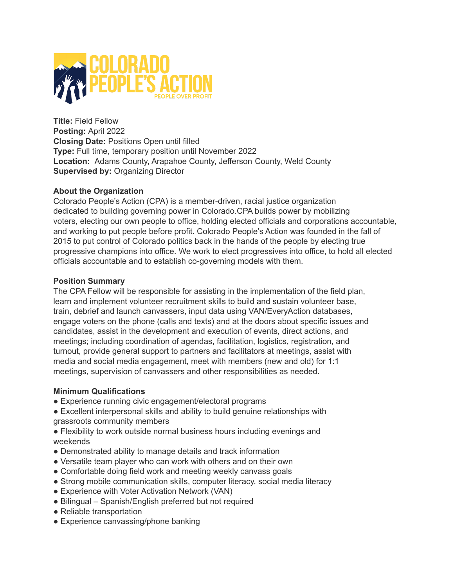

**Title:** Field Fellow **Posting:** April 2022 **Closing Date:** Positions Open until filled **Type:** Full time, temporary position until November 2022 **Location:** Adams County, Arapahoe County, Jefferson County, Weld County **Supervised by:** Organizing Director

## **About the Organization**

Colorado People's Action (CPA) is a member-driven, racial justice organization dedicated to building governing power in Colorado.CPA builds power by mobilizing voters, electing our own people to office, holding elected officials and corporations accountable, and working to put people before profit. Colorado People's Action was founded in the fall of 2015 to put control of Colorado politics back in the hands of the people by electing true progressive champions into office. We work to elect progressives into office, to hold all elected officials accountable and to establish co-governing models with them.

## **Position Summary**

The CPA Fellow will be responsible for assisting in the implementation of the field plan, learn and implement volunteer recruitment skills to build and sustain volunteer base, train, debrief and launch canvassers, input data using VAN/EveryAction databases, engage voters on the phone (calls and texts) and at the doors about specific issues and candidates, assist in the development and execution of events, direct actions, and meetings; including coordination of agendas, facilitation, logistics, registration, and turnout, provide general support to partners and facilitators at meetings, assist with media and social media engagement, meet with members (new and old) for 1:1 meetings, supervision of canvassers and other responsibilities as needed.

# **Minimum Qualifications**

• Experience running civic engagement/electoral programs

● Excellent interpersonal skills and ability to build genuine relationships with grassroots community members

● Flexibility to work outside normal business hours including evenings and weekends

- Demonstrated ability to manage details and track information
- Versatile team player who can work with others and on their own
- Comfortable doing field work and meeting weekly canvass goals
- Strong mobile communication skills, computer literacy, social media literacy
- Experience with Voter Activation Network (VAN)
- Bilingual Spanish/English preferred but not required
- Reliable transportation
- Experience canvassing/phone banking